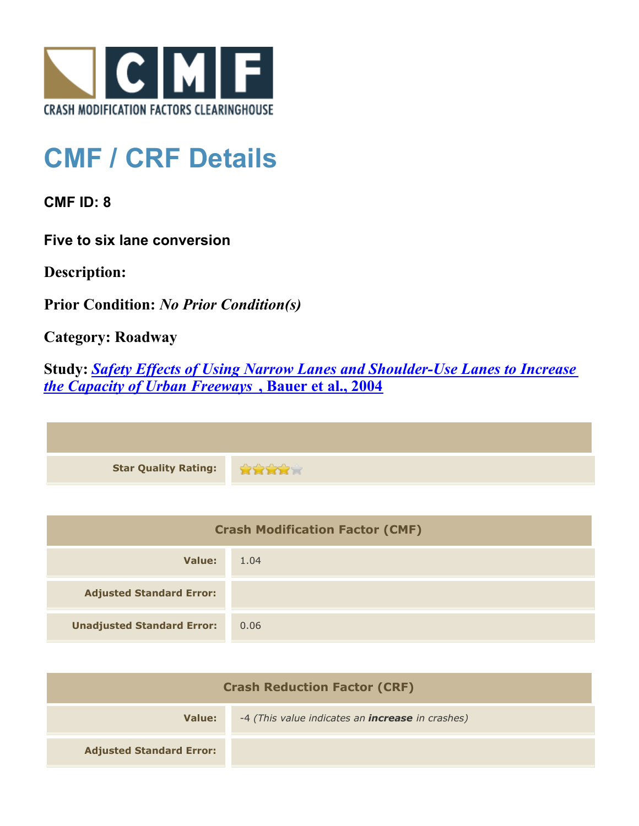

## **CMF / CRF Details**

**CMF ID: 8**

**Five to six lane conversion**

**Description:** 

**Prior Condition:** *No Prior Condition(s)*

**Category: Roadway**

**Study:** *[Safety Effects of Using Narrow Lanes and Shoulder-Use Lanes to Increase](http://www.cmfclearinghouse.org/study_detail.cfm?stid=4) [the Capacity of Urban Freeways](http://www.cmfclearinghouse.org/study_detail.cfm?stid=4)* **[, Bauer et al., 2004](http://www.cmfclearinghouse.org/study_detail.cfm?stid=4)**

| Star Quality Rating: 2002 |  |
|---------------------------|--|

| <b>Crash Modification Factor (CMF)</b> |      |
|----------------------------------------|------|
| Value:                                 | 1.04 |
| <b>Adjusted Standard Error:</b>        |      |
| <b>Unadjusted Standard Error:</b>      | 0.06 |

| <b>Crash Reduction Factor (CRF)</b> |                                                         |
|-------------------------------------|---------------------------------------------------------|
| Value:                              | -4 (This value indicates an <b>increase</b> in crashes) |
| <b>Adjusted Standard Error:</b>     |                                                         |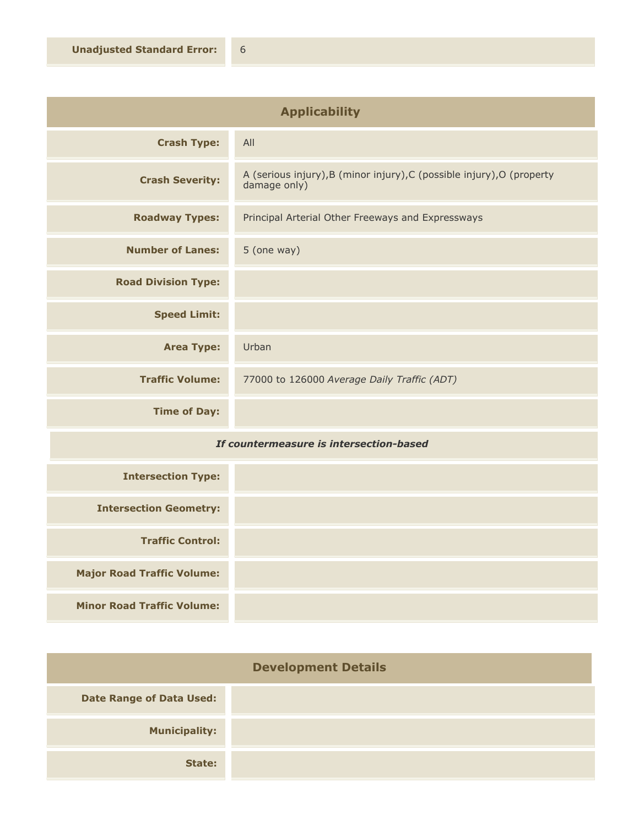| <b>Applicability</b>       |                                                                                        |
|----------------------------|----------------------------------------------------------------------------------------|
| <b>Crash Type:</b>         | All                                                                                    |
| <b>Crash Severity:</b>     | A (serious injury), B (minor injury), C (possible injury), O (property<br>damage only) |
| <b>Roadway Types:</b>      | Principal Arterial Other Freeways and Expressways                                      |
| <b>Number of Lanes:</b>    | 5 (one way)                                                                            |
| <b>Road Division Type:</b> |                                                                                        |
| <b>Speed Limit:</b>        |                                                                                        |
| <b>Area Type:</b>          | Urban                                                                                  |
| <b>Traffic Volume:</b>     | 77000 to 126000 Average Daily Traffic (ADT)                                            |
| <b>Time of Day:</b>        |                                                                                        |

## *If countermeasure is intersection-based*

| <b>Intersection Type:</b>         |  |
|-----------------------------------|--|
| <b>Intersection Geometry:</b>     |  |
| <b>Traffic Control:</b>           |  |
| <b>Major Road Traffic Volume:</b> |  |
| <b>Minor Road Traffic Volume:</b> |  |

| <b>Development Details</b>      |  |
|---------------------------------|--|
| <b>Date Range of Data Used:</b> |  |
| <b>Municipality:</b>            |  |
| State:                          |  |